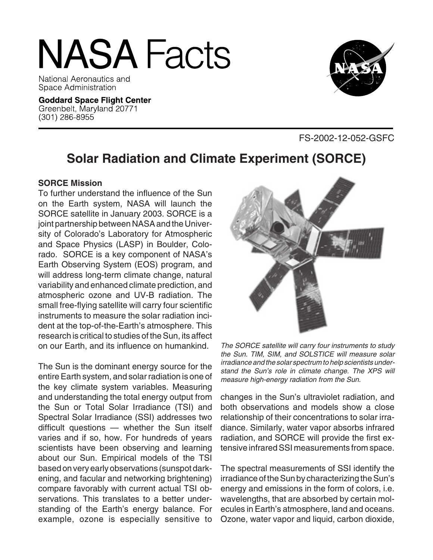# **NASA Facts**

National Aeronautics and Space Administration

**Goddard Space Flight Center** Greenbelt, Maryland 20771 (301) 286-8955



FS-2002-12-052-GSFC

# **Solar Radiation and Climate Experiment (SORCE)**

#### **SORCE Mission**

To further understand the influence of the Sun on the Earth system, NASA will launch the SORCE satellite in January 2003. SORCE is a joint partnership between NASA and the University of Colorado's Laboratory for Atmospheric and Space Physics (LASP) in Boulder, Colorado. SORCE is a key component of NASA's Earth Observing System (EOS) program, and will address long-term climate change, natural variability and enhanced climate prediction, and atmospheric ozone and UV-B radiation. The small free-flying satellite will carry four scientific instruments to measure the solar radiation incident at the top-of-the-Earth's atmosphere. This research is critical to studies of the Sun, its affect on our Earth, and its influence on humankind.

The Sun is the dominant energy source for the entire Earth system, and solar radiation is one of the key climate system variables. Measuring and understanding the total energy output from the Sun or Total Solar Irradiance (TSI) and Spectral Solar Irradiance (SSI) addresses two difficult questions — whether the Sun itself varies and if so, how. For hundreds of years scientists have been observing and learning about our Sun. Empirical models of the TSI based on very early observations (sunspot darkening, and facular and networking brightening) compare favorably with current actual TSI observations. This translates to a better understanding of the Earth's energy balance. For example, ozone is especially sensitive to



The SORCE satellite will carry four instruments to study the Sun. TIM, SIM, and SOLSTICE will measure solar irradiance and the solar spectrum to help scientists understand the Sun's role in climate change. The XPS will measure high-energy radiation from the Sun.

changes in the Sun's ultraviolet radiation, and both observations and models show a close relationship of their concentrations to solar irradiance. Similarly, water vapor absorbs infrared radiation, and SORCE will provide the first extensive infrared SSI measurements from space.

The spectral measurements of SSI identify the irradiance of the Sun by characterizing the Sun's energy and emissions in the form of colors, i.e. wavelengths, that are absorbed by certain molecules in Earth's atmosphere, land and oceans. Ozone, water vapor and liquid, carbon dioxide,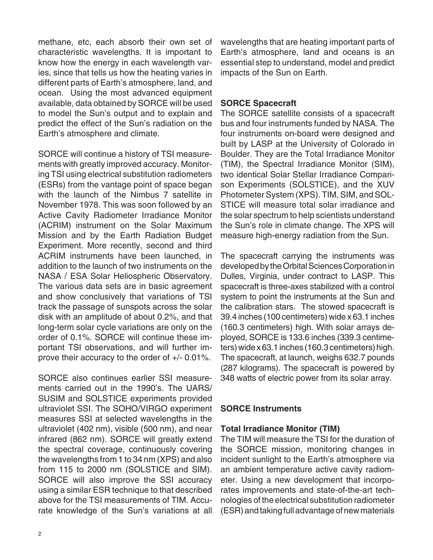methane, etc, each absorb their own set of characteristic wavelengths. It is important to know how the energy in each wavelength varies, since that tells us how the heating varies in different parts of Earth's atmosphere, land, and ocean. Using the most advanced equipment available, data obtained by SORCE will be used to model the Sun's output and to explain and predict the effect of the Sun's radiation on the Earth's atmosphere and climate.

SORCE will continue a history of TSI measurements with greatly improved accuracy. Monitoring TSI using electrical substitution radiometers (ESRs) from the vantage point of space began with the launch of the Nimbus 7 satellite in November 1978. This was soon followed by an Active Cavity Radiometer Irradiance Monitor (ACRIM) instrument on the Solar Maximum Mission and by the Earth Radiation Budget Experiment. More recently, second and third ACRIM instruments have been launched, in addition to the launch of two instruments on the NASA / ESA Solar Heliospheric Observatory. The various data sets are in basic agreement and show conclusively that variations of TSI track the passage of sunspots across the solar disk with an amplitude of about 0.2%, and that long-term solar cycle variations are only on the order of 0.1%. SORCE will continue these important TSI observations, and will further improve their accuracy to the order of +/- 0.01%.

SORCE also continues earlier SSI measurements carried out in the 1990's. The UARS/ SUSIM and SOLSTICE experiments provided ultraviolet SSI. The SOHO/VIRGO experiment measures SSI at selected wavelengths in the ultraviolet (402 nm), visible (500 nm), and near infrared (862 nm). SORCE will greatly extend the spectral coverage, continuously covering the wavelengths from 1 to 34 nm (XPS) and also from 115 to 2000 nm (SOLSTICE and SIM). SORCE will also improve the SSI accuracy using a similar ESR technique to that described above for the TSI measurements of TIM. Accurate knowledge of the Sun's variations at all

wavelengths that are heating important parts of Earth's atmosphere, land and oceans is an essential step to understand, model and predict impacts of the Sun on Earth.

## **SORCE Spacecraft**

The SORCE satellite consists of a spacecraft bus and four instruments funded by NASA. The four instruments on-board were designed and built by LASP at the University of Colorado in Boulder. They are the Total Irradiance Monitor (TIM), the Spectral Irradiance Monitor (SIM), two identical Solar Stellar Irradiance Comparison Experiments (SOLSTICE), and the XUV Photometer System (XPS). TIM, SIM, and SOL-STICE will measure total solar irradiance and the solar spectrum to help scientists understand the Sun's role in climate change. The XPS will measure high-energy radiation from the Sun.

The spacecraft carrying the instruments was developed by the Orbital Sciences Corporation in Dulles, Virginia, under contract to LASP. This spacecraft is three-axes stabilized with a control system to point the instruments at the Sun and the calibration stars. The stowed spacecraft is 39.4 inches (100 centimeters) wide x 63.1 inches (160.3 centimeters) high. With solar arrays deployed, SORCE is 133.6 inches (339.3 centimeters) wide x 63.1 inches (160.3 centimeters) high. The spacecraft, at launch, weighs 632.7 pounds (287 kilograms). The spacecraft is powered by 348 watts of electric power from its solar array.

# **SORCE Instruments**

# **Total Irradiance Monitor (TIM)**

The TIM will measure the TSI for the duration of the SORCE mission, monitoring changes in incident sunlight to the Earth's atmosphere via an ambient temperature active cavity radiometer. Using a new development that incorporates improvements and state-of-the-art technologies of the electrical substitution radiometer (ESR) and taking full advantage of new materials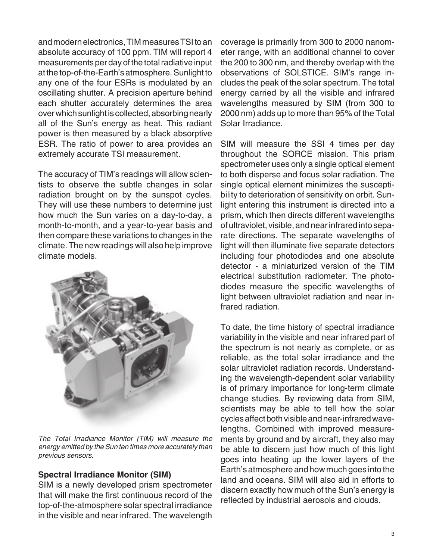and modern electronics, TIM measures TSI to an absolute accuracy of 100 ppm. TIM will report 4 measurements per day of the total radiative input at the top-of-the-Earth's atmosphere. Sunlight to any one of the four ESRs is modulated by an oscillating shutter. A precision aperture behind each shutter accurately determines the area over which sunlight is collected, absorbing nearly all of the Sun's energy as heat. This radiant power is then measured by a black absorptive ESR. The ratio of power to area provides an extremely accurate TSI measurement.

The accuracy of TIM's readings will allow scientists to observe the subtle changes in solar radiation brought on by the sunspot cycles. They will use these numbers to determine just how much the Sun varies on a day-to-day, a month-to-month, and a year-to-year basis and then compare these variations to changes in the climate. The new readings will also help improve climate models.



The Total Irradiance Monitor (TIM) will measure the energy emitted by the Sun ten times more accurately than previous sensors.

#### **Spectral Irradiance Monitor (SIM)**

SIM is a newly developed prism spectrometer that will make the first continuous record of the top-of-the-atmosphere solar spectral irradiance in the visible and near infrared. The wavelength coverage is primarily from 300 to 2000 nanometer range, with an additional channel to cover the 200 to 300 nm, and thereby overlap with the observations of SOLSTICE. SIM's range includes the peak of the solar spectrum. The total energy carried by all the visible and infrared wavelengths measured by SIM (from 300 to 2000 nm) adds up to more than 95% of the Total Solar Irradiance.

SIM will measure the SSI 4 times per day throughout the SORCE mission. This prism spectrometer uses only a single optical element to both disperse and focus solar radiation. The single optical element minimizes the susceptibility to deterioration of sensitivity on orbit. Sunlight entering this instrument is directed into a prism, which then directs different wavelengths of ultraviolet, visible, and near infrared into separate directions. The separate wavelengths of light will then illuminate five separate detectors including four photodiodes and one absolute detector - a miniaturized version of the TIM electrical substitution radiometer. The photodiodes measure the specific wavelengths of light between ultraviolet radiation and near infrared radiation.

To date, the time history of spectral irradiance variability in the visible and near infrared part of the spectrum is not nearly as complete, or as reliable, as the total solar irradiance and the solar ultraviolet radiation records. Understanding the wavelength-dependent solar variability is of primary importance for long-term climate change studies. By reviewing data from SIM, scientists may be able to tell how the solar cycles affect both visible and near-infrared wavelengths. Combined with improved measurements by ground and by aircraft, they also may be able to discern just how much of this light goes into heating up the lower layers of the Earth's atmosphere and how much goes into the land and oceans. SIM will also aid in efforts to discern exactly how much of the Sun's energy is reflected by industrial aerosols and clouds.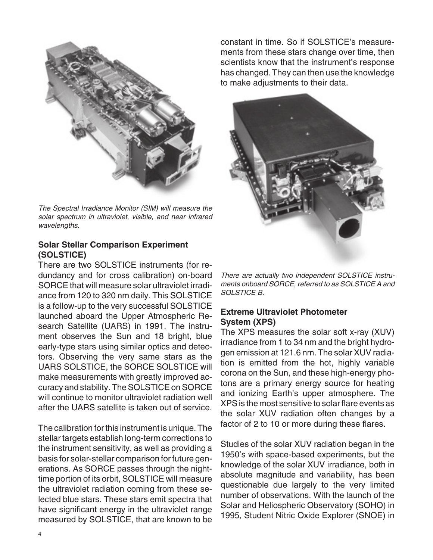

The Spectral Irradiance Monitor (SIM) will measure the solar spectrum in ultraviolet, visible, and near infrared wavelengths.

#### **Solar Stellar Comparison Experiment (SOLSTICE)**

There are two SOLSTICE instruments (for redundancy and for cross calibration) on-board SORCE that will measure solar ultraviolet irradiance from 120 to 320 nm daily. This SOLSTICE is a follow-up to the very successful SOLSTICE launched aboard the Upper Atmospheric Research Satellite (UARS) in 1991. The instrument observes the Sun and 18 bright, blue early-type stars using similar optics and detectors. Observing the very same stars as the UARS SOLSTICE, the SORCE SOLSTICE will make measurements with greatly improved accuracy and stability. The SOLSTICE on SORCE will continue to monitor ultraviolet radiation well after the UARS satellite is taken out of service.

The calibration for this instrument is unique. The stellar targets establish long-term corrections to the instrument sensitivity, as well as providing a basis for solar-stellar comparison for future generations. As SORCE passes through the nighttime portion of its orbit, SOLSTICE will measure the ultraviolet radiation coming from these selected blue stars. These stars emit spectra that have significant energy in the ultraviolet range measured by SOLSTICE, that are known to be

constant in time. So if SOLSTICE's measurements from these stars change over time, then scientists know that the instrument's response has changed. They can then use the knowledge to make adjustments to their data.



There are actually two independent SOLSTICE instruments onboard SORCE, referred to as SOLSTICE A and SOLSTICE B.

# **Extreme Ultraviolet Photometer System (XPS)**

The XPS measures the solar soft x-ray (XUV) irradiance from 1 to 34 nm and the bright hydrogen emission at 121.6 nm. The solar XUV radiation is emitted from the hot, highly variable corona on the Sun, and these high-energy photons are a primary energy source for heating and ionizing Earth's upper atmosphere. The XPS is the most sensitive to solar flare events as the solar XUV radiation often changes by a factor of 2 to 10 or more during these flares.

Studies of the solar XUV radiation began in the 1950's with space-based experiments, but the knowledge of the solar XUV irradiance, both in absolute magnitude and variability, has been questionable due largely to the very limited number of observations. With the launch of the Solar and Heliospheric Observatory (SOHO) in 1995, Student Nitric Oxide Explorer (SNOE) in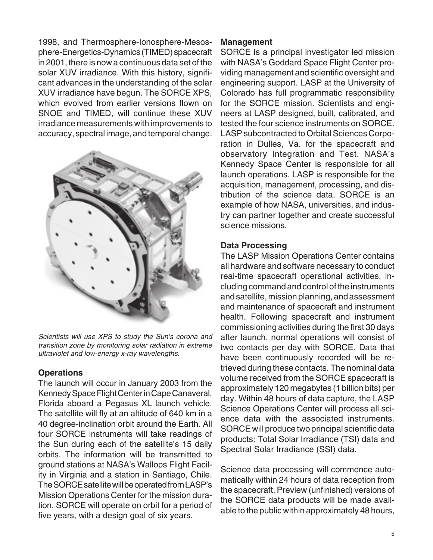1998, and Thermosphere-Ionosphere-Mesosphere-Energetics-Dynamics (TIMED) spacecraft in 2001, there is now a continuous data set of the solar XUV irradiance. With this history, significant advances in the understanding of the solar XUV irradiance have begun. The SORCE XPS, which evolved from earlier versions flown on SNOE and TIMED, will continue these XUV irradiance measurements with improvements to accuracy, spectral image, and temporal change.



Scientists will use XPS to study the Sun's corona and transition zone by monitoring solar radiation in extreme ultraviolet and low-energy x-ray wavelengths.

#### **Operations**

The launch will occur in January 2003 from the Kennedy Space Flight Center in Cape Canaveral, Florida aboard a Pegasus XL launch vehicle. The satellite will fly at an altitude of 640 km in a 40 degree-inclination orbit around the Earth. All four SORCE instruments will take readings of the Sun during each of the satellite's 15 daily orbits. The information will be transmitted to ground stations at NASA's Wallops Flight Facility in Virginia and a station in Santiago, Chile. The SORCE satellite will be operated from LASP's Mission Operations Center for the mission duration. SORCE will operate on orbit for a period of five years, with a design goal of six years.

#### **Management**

SORCE is a principal investigator led mission with NASA's Goddard Space Flight Center providing management and scientific oversight and engineering support. LASP at the University of Colorado has full programmatic responsibility for the SORCE mission. Scientists and engineers at LASP designed, built, calibrated, and tested the four science instruments on SORCE. LASP subcontracted to Orbital Sciences Corporation in Dulles, Va. for the spacecraft and observatory Integration and Test. NASA's Kennedy Space Center is responsible for all launch operations. LASP is responsible for the acquisition, management, processing, and distribution of the science data. SORCE is an example of how NASA, universities, and industry can partner together and create successful science missions.

#### **Data Processing**

The LASP Mission Operations Center contains all hardware and software necessary to conduct real-time spacecraft operational activities, including command and control of the instruments and satellite, mission planning, and assessment and maintenance of spacecraft and instrument health. Following spacecraft and instrument commissioning activities during the first 30 days after launch, normal operations will consist of two contacts per day with SORCE. Data that have been continuously recorded will be retrieved during these contacts. The nominal data volume received from the SORCE spacecraft is approximately 120 megabytes (1 billion bits) per day. Within 48 hours of data capture, the LASP Science Operations Center will process all science data with the associated instruments. SORCE will produce two principal scientific data products: Total Solar Irradiance (TSI) data and Spectral Solar Irradiance (SSI) data.

Science data processing will commence automatically within 24 hours of data reception from the spacecraft. Preview (unfinished) versions of the SORCE data products will be made available to the public within approximately 48 hours,